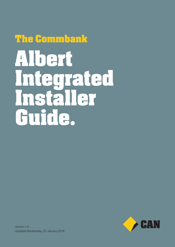# **The Commbank Albert Integrated Installer Guide.**

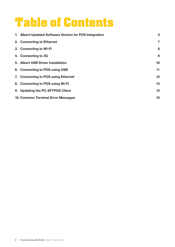### **Table of Contents**

| 1. Albert-Updated Software Version for POS Integration | 3               |
|--------------------------------------------------------|-----------------|
| 2. Connecting to Ethernet                              | 7               |
| 3. Connecting to Wi-Fi                                 | 8               |
| 4. Connecting to 3G                                    | 9               |
| 5. Albert USB Driver Installation                      | 10              |
| 6. Connecting to POS using USB                         | 11              |
| 7. Connecting to POS using Ethernet                    | 12 <sub>2</sub> |
| 8. Connecting to POS using Wi-Fi                       | 13              |
| 9. Updating the PC-EFTPOS Client                       | 14              |
| 10. Common Terminal Error Messages                     | 15              |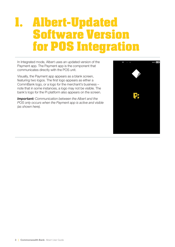### **1. Albert-Updated Software Version for POS Integration**

In Integrated mode, Albert uses an updated version of the Payment app. The Payment app is the component that communicates directly with the POS unit.

Visually, the Payment app appears as a blank screen, featuring two logos. The first logo appears as either a CommBank logo, or a logo for the merchant's business – note that in some instances, a logo may not be visible. The bank's logo for the Pi platform also appears on the screen.

*Important: Communication between the Albert and the POS only occurs when the Payment app is active and visible (as shown here).* 

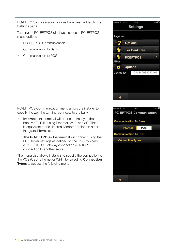PC-EFTPOS configuration options have been added to the Settings page.

Tapping on PC-EFTPOS displays a series of PC-EFTPOS menu options

- PC-EFTPOS Communication
- Communication to Bank
- Communication to POS



PC-EFTPOS Communication menu allows the installer to specify the way the terminal connects to the bank.

- $\cdot$  Internal the terminal will connect directly to the bank via TCP/IP, using Ethernet, Wi-Fi and 3G. This is equivalent to the "Internal Modem" option on other Integrated Terminals.
- **The PC-EFTPOS** the terminal will connect using the EFT Server settings as defined on the POS, typically a PC-EFTPOS Gateway connection or a TCP/IP connection to another server.

The menu also allows installers to specify the connection to the POS (USB, Ethernet or Wi-Fi) by selecting **Connection Types** to access the following menu.

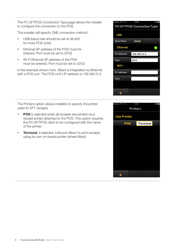The PC-EFTPOS Connection Type page allows the installer to configure the connection to the POS.

The installer will specify ONE connection method.

- USB (baud rate should be set at 38,400 for most POS units)
- Ethernet (IP address of the POS must be entered, Port must be set to 2012)
- Wi-Fi Ethernet (IP address of the POS must be entered, Port must be set to 2012)

In the example shown here, Albert is integrated via Ethernet with a POS unit. The POS Unit's IP address is 192.168.15.3

 $12.09$ PC-EFTPOS Connection Type **USB Baud Rate** 38400 **Ethernet IP Address** 192.168.15.3 Port 2012 WiFi **IP Address** Port ∢



- **POS** is selected when all receipts are printed via a receipt printer attached to the POS. This option requires the PC-EFTPOS client to be configured with the name of the printer.
- **Terminal**, if selected, instructs Albert to print receipts using its own on-board printer (where fitted).

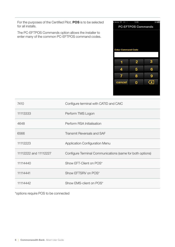For the purposes of the Certified Pilot, POS is to be selected for all installs.

The PC-EFTPOS Commands option allows the installer to enter many of the common PC-EFTPOS command codes.



| 7410                  | Configure terminal with CATID and CAIC                    |  |  |
|-----------------------|-----------------------------------------------------------|--|--|
| 11113333              | Perform TMS Logon                                         |  |  |
| 4648                  | Perform RSA Initialisation                                |  |  |
| 6566                  | <b>Transmit Reversals and SAF</b>                         |  |  |
| 11112223              | Application Configuration Menu                            |  |  |
| 11112222 and 11112227 | Configure Terminal Communications (same for both options) |  |  |
| 11114440              | Show EFT-Client on POS*                                   |  |  |
| 11114441              | Show EFTSRV on POS*                                       |  |  |
| 11114442              | Show EMS-client on POS*                                   |  |  |

\*options require POS to be connected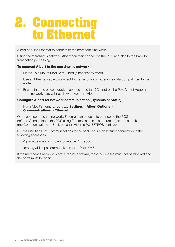# **2. Connecting to Ethernet**

Albert can use Ethernet to connect to the merchant's network.

Using the merchant's network, Albert can then connect to the POS and also to the bank for transaction processing.

#### To connect Albert to the merchant's network

- Fit the Pole Mount Module to Albert (if not already fitted)
- Use an Ethernet cable to connect to the merchant's router (or a data port patched to the router)
- Ensure that the power supply is connected to the DC input on the Pole Mount Adapter – the network card will not draw power from Albert.

#### Configure Albert for network communication (Dynamic or Static)

• From Albert's home screen, tap **Settings > Albert Options >** Communications > Ethernet

Once connected to the network, Ethernet can be used to connect to the POS (refer to Connection to the POS using Ethernet later in this document) or to the bank (the Communications to Bank option in Albert's PC-EFTPOS settings).

For the Certified Pilot, communications to the bank require an Internet connection to the following addresses.

- i1.paywide.nps.commbank.com.au Port 9000
- tms.paywide.nps.commbank.com.au Port 9056

If the merchant's network is protected by a firewall, these addresses must not be blocked and the ports must be open.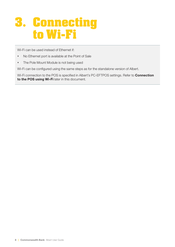# **3. Connecting to Wi-Fi**

Wi-Fi can be used instead of Ethernet if:

- No Ethernet port is available at the Point of Sale
- The Pole Mount Module is not being used

Wi-Fi can be configured using the same steps as for the standalone version of Albert.

Wi-Fi connection to the POS is specified in Albert's PC-EFTPOS settings. Refer to **Connection** to the POS using Wi-Fi later in this document.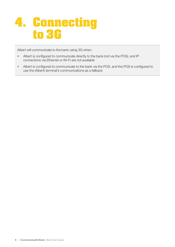

Albert will communicate to the bank using 3G when:

- Albert is configured to communicate directly to the bank (not via the POS), and IP connections via Ethernet or Wi-Fi are not available
- Albert is configured to communicate to the bank via the POS, and the POS is configured to use the (Albert) terminal's communications as a fallback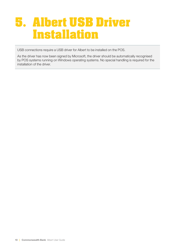#### **5. Albert USB Driver Installation**

USB connections require a USB driver for Albert to be installed on the POS.

As the driver has now been signed by Microsoft, the driver should be automatically recognised by POS systems running on Windows operating systems. No special handling is required for the installation of the driver.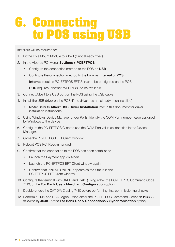# **6. Connecting to POS using USB**

Installers will be required to:

- 1. Fit the Pole Mount Module to Albert (if not already fitted)
- 2. In the Albert's PC-Menu (Settings > PCEFTPOS)
	- Configure the connection method to the POS as USB
	- Configure the connection method to the bank as **Internal** or **POS**

Internal requires PC-EFTPOS EFT Server to be configured on the POS

**POS** requires Ethernet, Wi-Fi or 3G to be available

- 3. Connect Albert to a USB port on the POS using the USB cable
- 4. Install the USB driver on the POS (if the driver has not already been installed)
	- Note: Refer to Albert USB Driver Installation later in this document for driver installation instructions.
- 5. Using Windows Device Manager under Ports, Identify the COM Port number value assigned by Windows to the device
- 6. Configure the PC-EFTPOS Client to use the COM Port value as identified in the Device Manager.
- 7. Close the PC-EFTPOS EFT Client window
- 8. Reboot POS PC (Recommended)
- 9. Confirm that the connection to the POS has been established
	- Launch the Payment app on Albert
	- Launch the PC-EFTPOS EFT Client window again
	- Confirm that PINPAD ONLINE appears as the Status in the PC-EFTPOS EFT Client window
- 10. Configure the terminal with CATID and CAIC (Using either the PC-EFTPOS Command Code 7410, or the For Bank Use > Merchant Configuration option)
- 11. Double-check the CATID/AIC using 7410 before performing final commissioning checks
- 12. Perform a TMS and RSA Logon (Using either the PC-EFTPOS Command Codes 11113333 followed by 4648 , or the For Bank Use > Connections > Synchronisation option)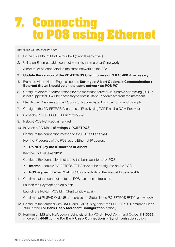# **7. Connecting to POS using Ethernet**

Installers will be required to:

- 1. Fit the Pole Mount Module to Albert (if not already fitted)
- 2. Using an Ethernet cable, connect Albert to the merchant's network

Albert must be connected to the same network as the POS

- 3. Update the version of the PC-EFTPOS Client to version 3.0.15.408 if necessary
- 4. From the Albert Home Page, select the Settings > Albert Options > Communication > Ethernet (Note: Should be on the same network as POS PC)
- 5. Configure Albert Ethernet options for the merchant network. If Dynamic addressing (DHCP) is not supported, it will be necessary to obtain Static IP addresses from the merchant.
- 6. Identify the IP address of the POS (ipconfig command from the command prompt)
- 7. Configure the PC-EFTPOS Client to use IP by keying TCPIP as the COM Port value.
- 8. Close the PC-EFTPOS EFT Client window
- 9. Reboot POS PC (Recommended)
- 10. In Albert's PC-Menu (Settings > PCEFTPOS)

Configure the connection method to the POS as **Ethernet** 

Key the IP address of the POS as the Ethernet IP address

Do NOT key the IP address of Albert

Key the Port value as 2012

Configure the connection method to the bank as Internal or POS

- Internal requires PC-EFTPOS EFT Server to be configured on the POS
- **POS** requires Ethernet, Wi-Fi or 3G connectivity to the internet to be available
- 11. Confirm that the connection to the POS has been established

Launch the Payment app on Albert

Launch the PC-EFTPOS EFT Client window again

Confirm that PINPAD ONLINE appears as the Status in the PC-EFTPOS EFT Client window

- 12. Configure the terminal with CATID and CAIC (Using either the PC-EFTPOS Command Code 7410, or the For Bank Use > Merchant Configuration option )
- 13. Perform a TMS and RSA Logon (Using either the PC-EFTPOS Command Codes 11113333 followed by 4648 , or the For Bank Use > Connections > Synchronisation option)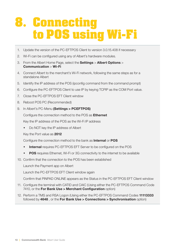# **8. Connecting to POS using Wi-Fi**

- 1. Update the version of the PC-EFTPOS Client to version 3.0.15.408 if necessary
- 2. Wi-Fi can be configured using any of Albert's hardware modules.
- 3. From the Albert Home Page, select the Settings > Albert Options > Communication > Wi-Fi
- 4. Connect Albert to the merchant's Wi-Fi network, following the same steps as for a standalone Albert
- 5. Identify the IP address of the POS (ipconfig command from the command prompt)
- 6. Configure the PC-EFTPOS Client to use IP by keying TCPIP as the COM Port value.
- 7. Close the PC-EFTPOS EFT Client window
- 8. Reboot POS PC (Recommended)
- 9. In Albert's PC-Menu (Settings > PCEFTPOS)

Configure the connection method to the POS as Ethernet

Key the IP address of the POS as the Wi-Fi IP address

Do NOT key the IP address of Albert

Key the Port value as 2012

Configure the connection method to the bank as Internal or POS

- **Internal** requires PC-EFTPOS EFT Server to be configured on the POS
- POS requires Ethernet, Wi-Fi or 3G connectivity to the internet to be available
- 10. Confirm that the connection to the POS has been established

Launch the Payment app on Albert

Launch the PC-EFTPOS EFT Client window again

Confirm that PINPAD ONLINE appears as the Status in the PC-EFTPOS EFT Client window

- 11. Configure the terminal with CATID and CAIC (Using either the PC-EFTPOS Command Code 7410, or the For Bank Use > Merchant Configuration option)
- 12. Perform a TMS and RSA Logon (Using either the PC-EFTPOS Command Codes 11113333 followed by 4648 , or the For Bank Use > Connections > Synchronisation option)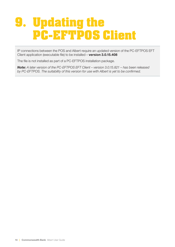# **9. Updating the PC-EFTPOS Client**

IP connections between the POS and Albert require an updated version of the PC-EFTPOS EFT Client application (executable file) to be installed – version 3.0.15.408

The file is not installed as part of a PC-EFTPOS installation package.

*Note: A later version of the PC-EFTPOS EFT Client – version 3.0.15.821 – has been released by PC-EFTPOS. The suitability of this version for use with Albert is yet to be confirmed.*